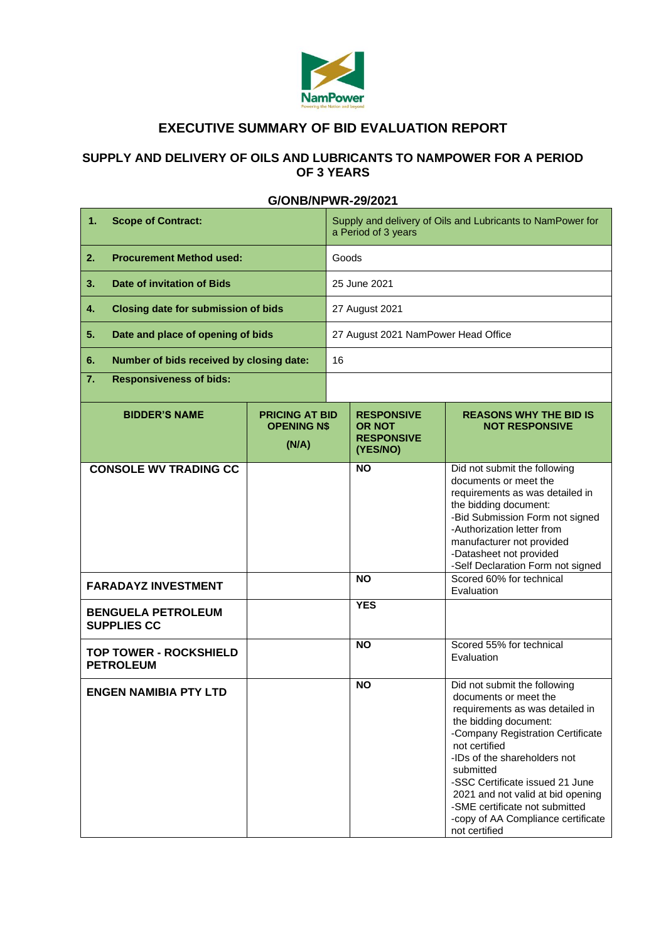

## **EXECUTIVE SUMMARY OF BID EVALUATION REPORT**

## **SUPPLY AND DELIVERY OF OILS AND LUBRICANTS TO NAMPOWER FOR A PERIOD OF 3 YEARS**

| $\mathbf{1}$ .<br><b>Scope of Contract:</b>       |                                                     | Supply and delivery of Oils and Lubricants to NamPower for<br>a Period of 3 years |                                                                     |                                                                                                                                                                                                                                                                                                                                                                                       |
|---------------------------------------------------|-----------------------------------------------------|-----------------------------------------------------------------------------------|---------------------------------------------------------------------|---------------------------------------------------------------------------------------------------------------------------------------------------------------------------------------------------------------------------------------------------------------------------------------------------------------------------------------------------------------------------------------|
| <b>Procurement Method used:</b><br>2.             |                                                     | Goods                                                                             |                                                                     |                                                                                                                                                                                                                                                                                                                                                                                       |
| <b>Date of invitation of Bids</b><br>3.           |                                                     | 25 June 2021                                                                      |                                                                     |                                                                                                                                                                                                                                                                                                                                                                                       |
| <b>Closing date for submission of bids</b><br>4.  |                                                     | 27 August 2021                                                                    |                                                                     |                                                                                                                                                                                                                                                                                                                                                                                       |
| Date and place of opening of bids<br>5.           |                                                     | 27 August 2021 NamPower Head Office                                               |                                                                     |                                                                                                                                                                                                                                                                                                                                                                                       |
| Number of bids received by closing date:<br>6.    |                                                     | 16                                                                                |                                                                     |                                                                                                                                                                                                                                                                                                                                                                                       |
| 7.<br><b>Responsiveness of bids:</b>              |                                                     |                                                                                   |                                                                     |                                                                                                                                                                                                                                                                                                                                                                                       |
| <b>BIDDER'S NAME</b>                              | <b>PRICING AT BID</b><br><b>OPENING NS</b><br>(N/A) |                                                                                   | <b>RESPONSIVE</b><br><b>OR NOT</b><br><b>RESPONSIVE</b><br>(YES/NO) | <b>REASONS WHY THE BID IS</b><br><b>NOT RESPONSIVE</b>                                                                                                                                                                                                                                                                                                                                |
| <b>CONSOLE WV TRADING CC</b>                      |                                                     |                                                                                   | <b>NO</b>                                                           | Did not submit the following<br>documents or meet the<br>requirements as was detailed in<br>the bidding document:<br>-Bid Submission Form not signed<br>-Authorization letter from<br>manufacturer not provided<br>-Datasheet not provided<br>-Self Declaration Form not signed                                                                                                       |
| <b>FARADAYZ INVESTMENT</b>                        |                                                     |                                                                                   | <b>NO</b>                                                           | Scored 60% for technical<br>Evaluation                                                                                                                                                                                                                                                                                                                                                |
| <b>BENGUELA PETROLEUM</b><br><b>SUPPLIES CC</b>   |                                                     |                                                                                   | <b>YES</b>                                                          |                                                                                                                                                                                                                                                                                                                                                                                       |
| <b>TOP TOWER - ROCKSHIELD</b><br><b>PETROLEUM</b> |                                                     |                                                                                   | <b>NO</b>                                                           | Scored 55% for technical<br>Evaluation                                                                                                                                                                                                                                                                                                                                                |
| <b>ENGEN NAMIBIA PTY LTD</b>                      |                                                     |                                                                                   | <b>NO</b>                                                           | Did not submit the following<br>documents or meet the<br>requirements as was detailed in<br>the bidding document:<br>-Company Registration Certificate<br>not certified<br>-IDs of the shareholders not<br>submitted<br>-SSC Certificate issued 21 June<br>2021 and not valid at bid opening<br>-SME certificate not submitted<br>-copy of AA Compliance certificate<br>not certified |

## **G/ONB/NPWR-29/2021**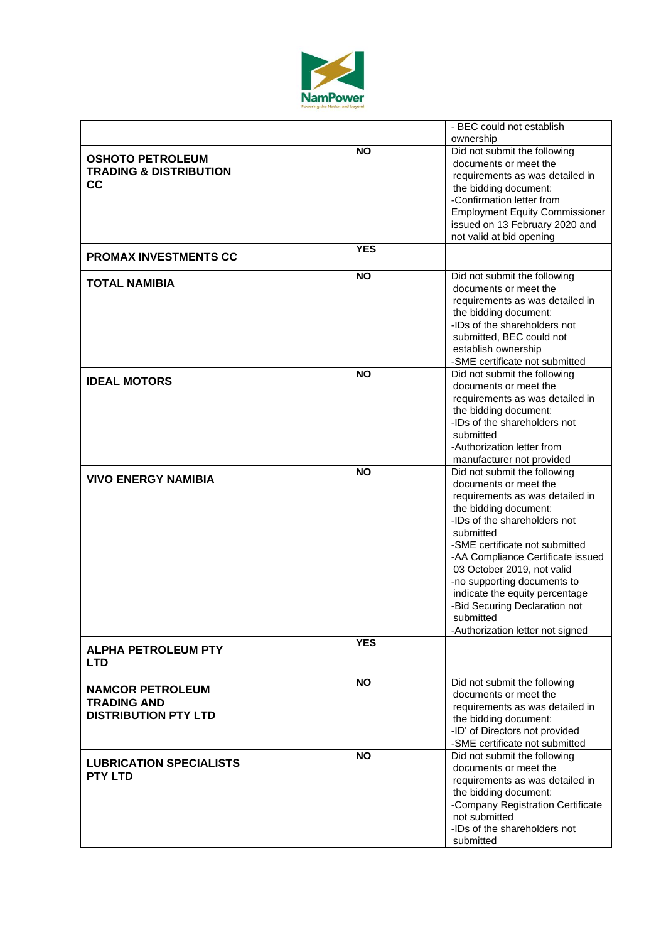

| ownership<br><b>NO</b><br>Did not submit the following<br><b>OSHOTO PETROLEUM</b><br>documents or meet the<br><b>TRADING &amp; DISTRIBUTION</b><br>requirements as was detailed in<br>cc<br>the bidding document:<br>-Confirmation letter from<br><b>Employment Equity Commissioner</b><br>issued on 13 February 2020 and<br>not valid at bid opening<br><b>YES</b><br><b>PROMAX INVESTMENTS CC</b><br><b>NO</b><br>Did not submit the following<br><b>TOTAL NAMIBIA</b><br>documents or meet the<br>requirements as was detailed in<br>the bidding document:<br>-IDs of the shareholders not<br>submitted, BEC could not<br>establish ownership<br>-SME certificate not submitted<br><b>NO</b><br>Did not submit the following<br><b>IDEAL MOTORS</b><br>documents or meet the<br>requirements as was detailed in<br>the bidding document:<br>-IDs of the shareholders not<br>submitted<br>-Authorization letter from<br>manufacturer not provided<br>Did not submit the following<br><b>NO</b><br><b>VIVO ENERGY NAMIBIA</b><br>documents or meet the<br>requirements as was detailed in<br>the bidding document:<br>-IDs of the shareholders not<br>submitted<br>-SME certificate not submitted |
|----------------------------------------------------------------------------------------------------------------------------------------------------------------------------------------------------------------------------------------------------------------------------------------------------------------------------------------------------------------------------------------------------------------------------------------------------------------------------------------------------------------------------------------------------------------------------------------------------------------------------------------------------------------------------------------------------------------------------------------------------------------------------------------------------------------------------------------------------------------------------------------------------------------------------------------------------------------------------------------------------------------------------------------------------------------------------------------------------------------------------------------------------------------------------------------------------|
|                                                                                                                                                                                                                                                                                                                                                                                                                                                                                                                                                                                                                                                                                                                                                                                                                                                                                                                                                                                                                                                                                                                                                                                                    |
|                                                                                                                                                                                                                                                                                                                                                                                                                                                                                                                                                                                                                                                                                                                                                                                                                                                                                                                                                                                                                                                                                                                                                                                                    |
|                                                                                                                                                                                                                                                                                                                                                                                                                                                                                                                                                                                                                                                                                                                                                                                                                                                                                                                                                                                                                                                                                                                                                                                                    |
|                                                                                                                                                                                                                                                                                                                                                                                                                                                                                                                                                                                                                                                                                                                                                                                                                                                                                                                                                                                                                                                                                                                                                                                                    |
|                                                                                                                                                                                                                                                                                                                                                                                                                                                                                                                                                                                                                                                                                                                                                                                                                                                                                                                                                                                                                                                                                                                                                                                                    |
|                                                                                                                                                                                                                                                                                                                                                                                                                                                                                                                                                                                                                                                                                                                                                                                                                                                                                                                                                                                                                                                                                                                                                                                                    |
|                                                                                                                                                                                                                                                                                                                                                                                                                                                                                                                                                                                                                                                                                                                                                                                                                                                                                                                                                                                                                                                                                                                                                                                                    |
|                                                                                                                                                                                                                                                                                                                                                                                                                                                                                                                                                                                                                                                                                                                                                                                                                                                                                                                                                                                                                                                                                                                                                                                                    |
|                                                                                                                                                                                                                                                                                                                                                                                                                                                                                                                                                                                                                                                                                                                                                                                                                                                                                                                                                                                                                                                                                                                                                                                                    |
|                                                                                                                                                                                                                                                                                                                                                                                                                                                                                                                                                                                                                                                                                                                                                                                                                                                                                                                                                                                                                                                                                                                                                                                                    |
|                                                                                                                                                                                                                                                                                                                                                                                                                                                                                                                                                                                                                                                                                                                                                                                                                                                                                                                                                                                                                                                                                                                                                                                                    |
|                                                                                                                                                                                                                                                                                                                                                                                                                                                                                                                                                                                                                                                                                                                                                                                                                                                                                                                                                                                                                                                                                                                                                                                                    |
|                                                                                                                                                                                                                                                                                                                                                                                                                                                                                                                                                                                                                                                                                                                                                                                                                                                                                                                                                                                                                                                                                                                                                                                                    |
|                                                                                                                                                                                                                                                                                                                                                                                                                                                                                                                                                                                                                                                                                                                                                                                                                                                                                                                                                                                                                                                                                                                                                                                                    |
|                                                                                                                                                                                                                                                                                                                                                                                                                                                                                                                                                                                                                                                                                                                                                                                                                                                                                                                                                                                                                                                                                                                                                                                                    |
|                                                                                                                                                                                                                                                                                                                                                                                                                                                                                                                                                                                                                                                                                                                                                                                                                                                                                                                                                                                                                                                                                                                                                                                                    |
|                                                                                                                                                                                                                                                                                                                                                                                                                                                                                                                                                                                                                                                                                                                                                                                                                                                                                                                                                                                                                                                                                                                                                                                                    |
|                                                                                                                                                                                                                                                                                                                                                                                                                                                                                                                                                                                                                                                                                                                                                                                                                                                                                                                                                                                                                                                                                                                                                                                                    |
|                                                                                                                                                                                                                                                                                                                                                                                                                                                                                                                                                                                                                                                                                                                                                                                                                                                                                                                                                                                                                                                                                                                                                                                                    |
|                                                                                                                                                                                                                                                                                                                                                                                                                                                                                                                                                                                                                                                                                                                                                                                                                                                                                                                                                                                                                                                                                                                                                                                                    |
|                                                                                                                                                                                                                                                                                                                                                                                                                                                                                                                                                                                                                                                                                                                                                                                                                                                                                                                                                                                                                                                                                                                                                                                                    |
|                                                                                                                                                                                                                                                                                                                                                                                                                                                                                                                                                                                                                                                                                                                                                                                                                                                                                                                                                                                                                                                                                                                                                                                                    |
|                                                                                                                                                                                                                                                                                                                                                                                                                                                                                                                                                                                                                                                                                                                                                                                                                                                                                                                                                                                                                                                                                                                                                                                                    |
|                                                                                                                                                                                                                                                                                                                                                                                                                                                                                                                                                                                                                                                                                                                                                                                                                                                                                                                                                                                                                                                                                                                                                                                                    |
|                                                                                                                                                                                                                                                                                                                                                                                                                                                                                                                                                                                                                                                                                                                                                                                                                                                                                                                                                                                                                                                                                                                                                                                                    |
|                                                                                                                                                                                                                                                                                                                                                                                                                                                                                                                                                                                                                                                                                                                                                                                                                                                                                                                                                                                                                                                                                                                                                                                                    |
|                                                                                                                                                                                                                                                                                                                                                                                                                                                                                                                                                                                                                                                                                                                                                                                                                                                                                                                                                                                                                                                                                                                                                                                                    |
|                                                                                                                                                                                                                                                                                                                                                                                                                                                                                                                                                                                                                                                                                                                                                                                                                                                                                                                                                                                                                                                                                                                                                                                                    |
|                                                                                                                                                                                                                                                                                                                                                                                                                                                                                                                                                                                                                                                                                                                                                                                                                                                                                                                                                                                                                                                                                                                                                                                                    |
|                                                                                                                                                                                                                                                                                                                                                                                                                                                                                                                                                                                                                                                                                                                                                                                                                                                                                                                                                                                                                                                                                                                                                                                                    |
|                                                                                                                                                                                                                                                                                                                                                                                                                                                                                                                                                                                                                                                                                                                                                                                                                                                                                                                                                                                                                                                                                                                                                                                                    |
|                                                                                                                                                                                                                                                                                                                                                                                                                                                                                                                                                                                                                                                                                                                                                                                                                                                                                                                                                                                                                                                                                                                                                                                                    |
|                                                                                                                                                                                                                                                                                                                                                                                                                                                                                                                                                                                                                                                                                                                                                                                                                                                                                                                                                                                                                                                                                                                                                                                                    |
| -AA Compliance Certificate issued                                                                                                                                                                                                                                                                                                                                                                                                                                                                                                                                                                                                                                                                                                                                                                                                                                                                                                                                                                                                                                                                                                                                                                  |
| 03 October 2019, not valid                                                                                                                                                                                                                                                                                                                                                                                                                                                                                                                                                                                                                                                                                                                                                                                                                                                                                                                                                                                                                                                                                                                                                                         |
| -no supporting documents to                                                                                                                                                                                                                                                                                                                                                                                                                                                                                                                                                                                                                                                                                                                                                                                                                                                                                                                                                                                                                                                                                                                                                                        |
| indicate the equity percentage                                                                                                                                                                                                                                                                                                                                                                                                                                                                                                                                                                                                                                                                                                                                                                                                                                                                                                                                                                                                                                                                                                                                                                     |
| -Bid Securing Declaration not                                                                                                                                                                                                                                                                                                                                                                                                                                                                                                                                                                                                                                                                                                                                                                                                                                                                                                                                                                                                                                                                                                                                                                      |
| submitted                                                                                                                                                                                                                                                                                                                                                                                                                                                                                                                                                                                                                                                                                                                                                                                                                                                                                                                                                                                                                                                                                                                                                                                          |
| -Authorization letter not signed                                                                                                                                                                                                                                                                                                                                                                                                                                                                                                                                                                                                                                                                                                                                                                                                                                                                                                                                                                                                                                                                                                                                                                   |
| <b>YES</b>                                                                                                                                                                                                                                                                                                                                                                                                                                                                                                                                                                                                                                                                                                                                                                                                                                                                                                                                                                                                                                                                                                                                                                                         |
| <b>ALPHA PETROLEUM PTY</b><br>LTD                                                                                                                                                                                                                                                                                                                                                                                                                                                                                                                                                                                                                                                                                                                                                                                                                                                                                                                                                                                                                                                                                                                                                                  |
| <b>NO</b><br>Did not submit the following<br><b>NAMCOR PETROLEUM</b>                                                                                                                                                                                                                                                                                                                                                                                                                                                                                                                                                                                                                                                                                                                                                                                                                                                                                                                                                                                                                                                                                                                               |
| documents or meet the                                                                                                                                                                                                                                                                                                                                                                                                                                                                                                                                                                                                                                                                                                                                                                                                                                                                                                                                                                                                                                                                                                                                                                              |
| <b>TRADING AND</b><br>requirements as was detailed in                                                                                                                                                                                                                                                                                                                                                                                                                                                                                                                                                                                                                                                                                                                                                                                                                                                                                                                                                                                                                                                                                                                                              |
| <b>DISTRIBUTION PTY LTD</b><br>the bidding document:                                                                                                                                                                                                                                                                                                                                                                                                                                                                                                                                                                                                                                                                                                                                                                                                                                                                                                                                                                                                                                                                                                                                               |
| -ID' of Directors not provided                                                                                                                                                                                                                                                                                                                                                                                                                                                                                                                                                                                                                                                                                                                                                                                                                                                                                                                                                                                                                                                                                                                                                                     |
| -SME certificate not submitted                                                                                                                                                                                                                                                                                                                                                                                                                                                                                                                                                                                                                                                                                                                                                                                                                                                                                                                                                                                                                                                                                                                                                                     |
| Did not submit the following<br><b>NO</b><br><b>LUBRICATION SPECIALISTS</b>                                                                                                                                                                                                                                                                                                                                                                                                                                                                                                                                                                                                                                                                                                                                                                                                                                                                                                                                                                                                                                                                                                                        |
| documents or meet the                                                                                                                                                                                                                                                                                                                                                                                                                                                                                                                                                                                                                                                                                                                                                                                                                                                                                                                                                                                                                                                                                                                                                                              |
| <b>PTY LTD</b><br>requirements as was detailed in                                                                                                                                                                                                                                                                                                                                                                                                                                                                                                                                                                                                                                                                                                                                                                                                                                                                                                                                                                                                                                                                                                                                                  |
| the bidding document:                                                                                                                                                                                                                                                                                                                                                                                                                                                                                                                                                                                                                                                                                                                                                                                                                                                                                                                                                                                                                                                                                                                                                                              |
| -Company Registration Certificate                                                                                                                                                                                                                                                                                                                                                                                                                                                                                                                                                                                                                                                                                                                                                                                                                                                                                                                                                                                                                                                                                                                                                                  |
| not submitted                                                                                                                                                                                                                                                                                                                                                                                                                                                                                                                                                                                                                                                                                                                                                                                                                                                                                                                                                                                                                                                                                                                                                                                      |
| -IDs of the shareholders not                                                                                                                                                                                                                                                                                                                                                                                                                                                                                                                                                                                                                                                                                                                                                                                                                                                                                                                                                                                                                                                                                                                                                                       |
| submitted                                                                                                                                                                                                                                                                                                                                                                                                                                                                                                                                                                                                                                                                                                                                                                                                                                                                                                                                                                                                                                                                                                                                                                                          |